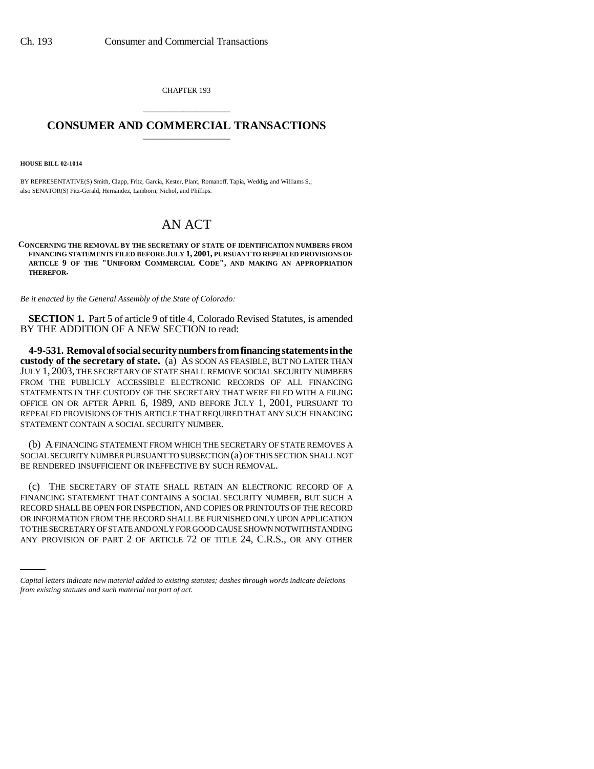CHAPTER 193 \_\_\_\_\_\_\_\_\_\_\_\_\_\_\_

## **CONSUMER AND COMMERCIAL TRANSACTIONS** \_\_\_\_\_\_\_\_\_\_\_\_\_\_\_

**HOUSE BILL 02-1014**

BY REPRESENTATIVE(S) Smith, Clapp, Fritz, Garcia, Kester, Plant, Romanoff, Tapia, Weddig, and Williams S.; also SENATOR(S) Fitz-Gerald, Hernandez, Lamborn, Nichol, and Phillips.

## AN ACT

**CONCERNING THE REMOVAL BY THE SECRETARY OF STATE OF IDENTIFICATION NUMBERS FROM FINANCING STATEMENTS FILED BEFORE JULY 1, 2001, PURSUANT TO REPEALED PROVISIONS OF ARTICLE 9 OF THE "UNIFORM COMMERCIAL CODE", AND MAKING AN APPROPRIATION THEREFOR.**

*Be it enacted by the General Assembly of the State of Colorado:*

**SECTION 1.** Part 5 of article 9 of title 4, Colorado Revised Statutes, is amended BY THE ADDITION OF A NEW SECTION to read:

**4-9-531. Removal of social security numbers from financing statements in the custody of the secretary of state.** (a) AS SOON AS FEASIBLE, BUT NO LATER THAN JULY 1, 2003, THE SECRETARY OF STATE SHALL REMOVE SOCIAL SECURITY NUMBERS FROM THE PUBLICLY ACCESSIBLE ELECTRONIC RECORDS OF ALL FINANCING STATEMENTS IN THE CUSTODY OF THE SECRETARY THAT WERE FILED WITH A FILING OFFICE ON OR AFTER APRIL 6, 1989, AND BEFORE JULY 1, 2001, PURSUANT TO REPEALED PROVISIONS OF THIS ARTICLE THAT REQUIRED THAT ANY SUCH FINANCING STATEMENT CONTAIN A SOCIAL SECURITY NUMBER.

(b) A FINANCING STATEMENT FROM WHICH THE SECRETARY OF STATE REMOVES A SOCIAL SECURITY NUMBER PURSUANT TO SUBSECTION (a) OF THIS SECTION SHALL NOT BE RENDERED INSUFFICIENT OR INEFFECTIVE BY SUCH REMOVAL.

OR INFORMATION FROM THE RECORD SHALL BE FURNISHED ONLY UPON APPLICATION (c) THE SECRETARY OF STATE SHALL RETAIN AN ELECTRONIC RECORD OF A FINANCING STATEMENT THAT CONTAINS A SOCIAL SECURITY NUMBER, BUT SUCH A RECORD SHALL BE OPEN FOR INSPECTION, AND COPIES OR PRINTOUTS OF THE RECORD TO THE SECRETARY OF STATE AND ONLY FOR GOOD CAUSE SHOWN NOTWITHSTANDING ANY PROVISION OF PART 2 OF ARTICLE 72 OF TITLE 24, C.R.S., OR ANY OTHER

*Capital letters indicate new material added to existing statutes; dashes through words indicate deletions from existing statutes and such material not part of act.*